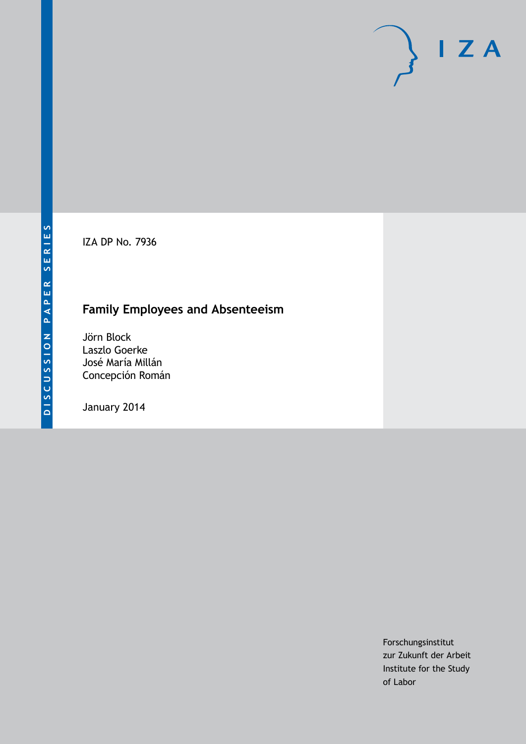IZA DP No. 7936

# **Family Employees and Absenteeism**

Jörn Block Laszlo Goerke José María Millán Concepción Román

January 2014

Forschungsinstitut zur Zukunft der Arbeit Institute for the Study of Labor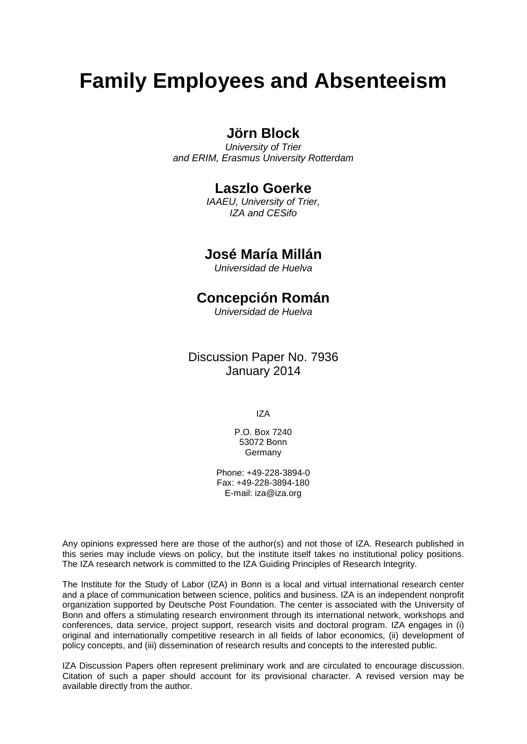# **Family Employees and Absenteeism**

### **Jörn Block**

*University of Trier and ERIM, Erasmus University Rotterdam*

### **Laszlo Goerke**

*IAAEU, University of Trier, IZA and CESifo*

### **José María Millán**

*Universidad de Huelva*

### **Concepción Román**

*Universidad de Huelva*

Discussion Paper No. 7936 January 2014

IZA

P.O. Box 7240 53072 Bonn **Germany** 

Phone: +49-228-3894-0 Fax: +49-228-3894-180 E-mail: [iza@iza.org](mailto:iza@iza.org)

Any opinions expressed here are those of the author(s) and not those of IZA. Research published in this series may include views on policy, but the institute itself takes no institutional policy positions. The IZA research network is committed to the IZA Guiding Principles of Research Integrity.

The Institute for the Study of Labor (IZA) in Bonn is a local and virtual international research center and a place of communication between science, politics and business. IZA is an independent nonprofit organization supported by Deutsche Post Foundation. The center is associated with the University of Bonn and offers a stimulating research environment through its international network, workshops and conferences, data service, project support, research visits and doctoral program. IZA engages in (i) original and internationally competitive research in all fields of labor economics, (ii) development of policy concepts, and (iii) dissemination of research results and concepts to the interested public.

<span id="page-1-0"></span>IZA Discussion Papers often represent preliminary work and are circulated to encourage discussion. Citation of such a paper should account for its provisional character. A revised version may be available directly from the author.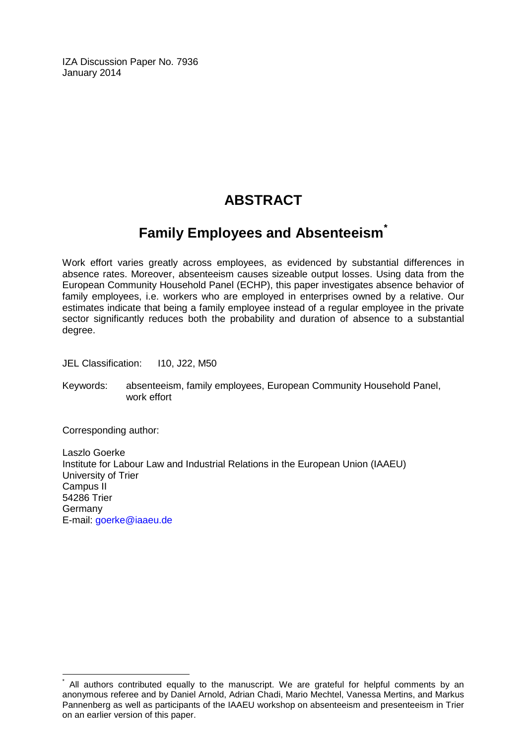IZA Discussion Paper No. 7936 January 2014

# **ABSTRACT**

## **Family Employees and Absenteeism[\\*](#page-1-0)**

Work effort varies greatly across employees, as evidenced by substantial differences in absence rates. Moreover, absenteeism causes sizeable output losses. Using data from the European Community Household Panel (ECHP), this paper investigates absence behavior of family employees, i.e. workers who are employed in enterprises owned by a relative. Our estimates indicate that being a family employee instead of a regular employee in the private sector significantly reduces both the probability and duration of absence to a substantial degree.

JEL Classification: I10, J22, M50

Keywords: absenteeism, family employees, European Community Household Panel, work effort

Corresponding author:

Laszlo Goerke Institute for Labour Law and Industrial Relations in the European Union (IAAEU) University of Trier Campus II 54286 Trier Germany E-mail: [goerke@iaaeu.de](mailto:goerke@iaaeu.de)

All authors contributed equally to the manuscript. We are grateful for helpful comments by an anonymous referee and by Daniel Arnold, Adrian Chadi, Mario Mechtel, Vanessa Mertins, and Markus Pannenberg as well as participants of the IAAEU workshop on absenteeism and presenteeism in Trier on an earlier version of this paper.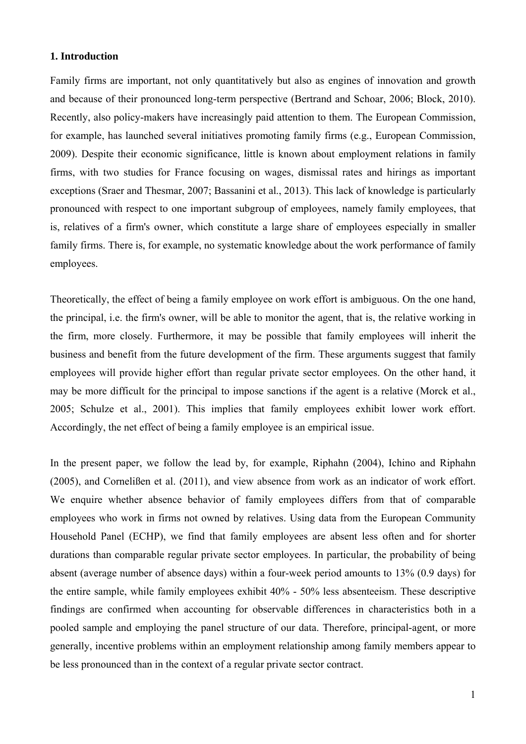#### **1. Introduction**

Family firms are important, not only quantitatively but also as engines of innovation and growth and because of their pronounced long-term perspective (Bertrand and Schoar, 2006; Block, 2010). Recently, also policy-makers have increasingly paid attention to them. The European Commission, for example, has launched several initiatives promoting family firms (e.g., European Commission, 2009). Despite their economic significance, little is known about employment relations in family firms, with two studies for France focusing on wages, dismissal rates and hirings as important exceptions (Sraer and Thesmar, 2007; Bassanini et al., 2013). This lack of knowledge is particularly pronounced with respect to one important subgroup of employees, namely family employees, that is, relatives of a firm's owner, which constitute a large share of employees especially in smaller family firms. There is, for example, no systematic knowledge about the work performance of family employees.

Theoretically, the effect of being a family employee on work effort is ambiguous. On the one hand, the principal, i.e. the firm's owner, will be able to monitor the agent, that is, the relative working in the firm, more closely. Furthermore, it may be possible that family employees will inherit the business and benefit from the future development of the firm. These arguments suggest that family employees will provide higher effort than regular private sector employees. On the other hand, it may be more difficult for the principal to impose sanctions if the agent is a relative (Morck et al., 2005; Schulze et al., 2001). This implies that family employees exhibit lower work effort. Accordingly, the net effect of being a family employee is an empirical issue.

In the present paper, we follow the lead by, for example, Riphahn (2004), Ichino and Riphahn (2005), and Cornelißen et al. (2011), and view absence from work as an indicator of work effort. We enquire whether absence behavior of family employees differs from that of comparable employees who work in firms not owned by relatives. Using data from the European Community Household Panel (ECHP), we find that family employees are absent less often and for shorter durations than comparable regular private sector employees. In particular, the probability of being absent (average number of absence days) within a four-week period amounts to 13% (0.9 days) for the entire sample, while family employees exhibit 40% - 50% less absenteeism. These descriptive findings are confirmed when accounting for observable differences in characteristics both in a pooled sample and employing the panel structure of our data. Therefore, principal-agent, or more generally, incentive problems within an employment relationship among family members appear to be less pronounced than in the context of a regular private sector contract.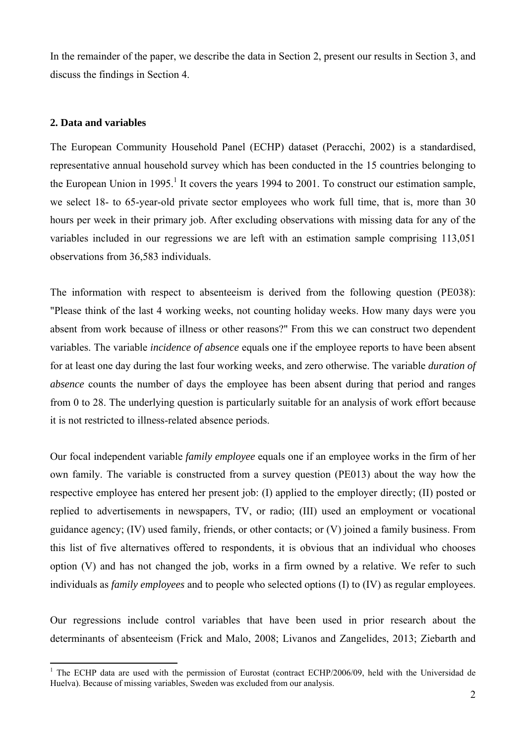In the remainder of the paper, we describe the data in Section 2, present our results in Section 3, and discuss the findings in Section 4.

#### **2. Data and variables**

The European Community Household Panel (ECHP) dataset (Peracchi, 2002) is a standardised, representative annual household survey which has been conducted in the 15 countries belonging to the European Union in 1995.<sup>1</sup> It covers the years 1994 to 2001. To construct our estimation sample, we select 18- to 65-year-old private sector employees who work full time, that is, more than 30 hours per week in their primary job. After excluding observations with missing data for any of the variables included in our regressions we are left with an estimation sample comprising 113,051 observations from 36,583 individuals.

The information with respect to absenteeism is derived from the following question (PE038): "Please think of the last 4 working weeks, not counting holiday weeks. How many days were you absent from work because of illness or other reasons?" From this we can construct two dependent variables. The variable *incidence of absence* equals one if the employee reports to have been absent for at least one day during the last four working weeks, and zero otherwise. The variable *duration of absence* counts the number of days the employee has been absent during that period and ranges from 0 to 28. The underlying question is particularly suitable for an analysis of work effort because it is not restricted to illness-related absence periods.

Our focal independent variable *family employee* equals one if an employee works in the firm of her own family. The variable is constructed from a survey question (PE013) about the way how the respective employee has entered her present job: (I) applied to the employer directly; (II) posted or replied to advertisements in newspapers, TV, or radio; (III) used an employment or vocational guidance agency; (IV) used family, friends, or other contacts; or (V) joined a family business. From this list of five alternatives offered to respondents, it is obvious that an individual who chooses option (V) and has not changed the job, works in a firm owned by a relative. We refer to such individuals as *family employees* and to people who selected options (I) to (IV) as regular employees.

Our regressions include control variables that have been used in prior research about the determinants of absenteeism (Frick and Malo, 2008; Livanos and Zangelides, 2013; Ziebarth and

<sup>&</sup>lt;sup>1</sup> The ECHP data are used with the permission of Eurostat (contract ECHP/2006/09, held with the Universidad de Huelva). Because of missing variables, Sweden was excluded from our analysis.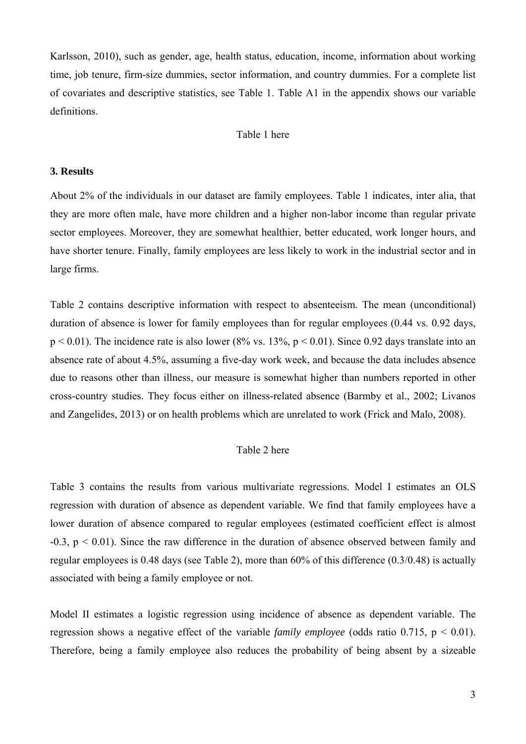Karlsson, 2010), such as gender, age, health status, education, income, information about working time, job tenure, firm-size dummies, sector information, and country dummies. For a complete list of covariates and descriptive statistics, see Table 1. Table A1 in the appendix shows our variable definitions.

#### Table 1 here

#### **3. Results**

About 2% of the individuals in our dataset are family employees. Table 1 indicates, inter alia, that they are more often male, have more children and a higher non-labor income than regular private sector employees. Moreover, they are somewhat healthier, better educated, work longer hours, and have shorter tenure. Finally, family employees are less likely to work in the industrial sector and in large firms.

Table 2 contains descriptive information with respect to absenteeism. The mean (unconditional) duration of absence is lower for family employees than for regular employees (0.44 vs. 0.92 days,  $p < 0.01$ ). The incidence rate is also lower (8% vs. 13%,  $p < 0.01$ ). Since 0.92 days translate into an absence rate of about 4.5%, assuming a five-day work week, and because the data includes absence due to reasons other than illness, our measure is somewhat higher than numbers reported in other cross-country studies. They focus either on illness-related absence (Barmby et al., 2002; Livanos and Zangelides, 2013) or on health problems which are unrelated to work (Frick and Malo, 2008).

#### Table 2 here

Table 3 contains the results from various multivariate regressions. Model I estimates an OLS regression with duration of absence as dependent variable. We find that family employees have a lower duration of absence compared to regular employees (estimated coefficient effect is almost  $-0.3$ ,  $p < 0.01$ ). Since the raw difference in the duration of absence observed between family and regular employees is 0.48 days (see Table 2), more than 60% of this difference (0.3/0.48) is actually associated with being a family employee or not.

Model II estimates a logistic regression using incidence of absence as dependent variable. The regression shows a negative effect of the variable *family employee* (odds ratio  $0.715$ ,  $p < 0.01$ ). Therefore, being a family employee also reduces the probability of being absent by a sizeable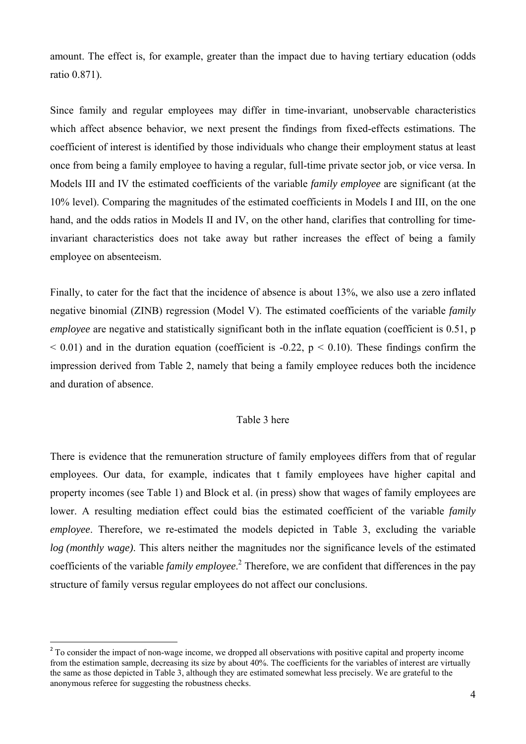amount. The effect is, for example, greater than the impact due to having tertiary education (odds ratio 0.871).

Since family and regular employees may differ in time-invariant, unobservable characteristics which affect absence behavior, we next present the findings from fixed-effects estimations. The coefficient of interest is identified by those individuals who change their employment status at least once from being a family employee to having a regular, full-time private sector job, or vice versa. In Models III and IV the estimated coefficients of the variable *family employee* are significant (at the 10% level). Comparing the magnitudes of the estimated coefficients in Models I and III, on the one hand, and the odds ratios in Models II and IV, on the other hand, clarifies that controlling for timeinvariant characteristics does not take away but rather increases the effect of being a family employee on absenteeism.

Finally, to cater for the fact that the incidence of absence is about 13%, we also use a zero inflated negative binomial (ZINB) regression (Model V). The estimated coefficients of the variable *family employee* are negative and statistically significant both in the inflate equation (coefficient is 0.51, p  $\leq$  0.01) and in the duration equation (coefficient is -0.22, p  $\leq$  0.10). These findings confirm the impression derived from Table 2, namely that being a family employee reduces both the incidence and duration of absence.

#### Table 3 here

There is evidence that the remuneration structure of family employees differs from that of regular employees. Our data, for example, indicates that t family employees have higher capital and property incomes (see Table 1) and Block et al. (in press) show that wages of family employees are lower. A resulting mediation effect could bias the estimated coefficient of the variable *family employee*. Therefore, we re-estimated the models depicted in Table 3, excluding the variable *log (monthly wage)*. This alters neither the magnitudes nor the significance levels of the estimated coefficients of the variable *family employee*. 2 Therefore, we are confident that differences in the pay structure of family versus regular employees do not affect our conclusions.

<sup>&</sup>lt;sup>2</sup> To consider the impact of non-wage income, we dropped all observations with positive capital and property income from the estimation sample, decreasing its size by about 40%. The coefficients for the variables of interest are virtually the same as those depicted in Table 3, although they are estimated somewhat less precisely. We are grateful to the anonymous referee for suggesting the robustness checks.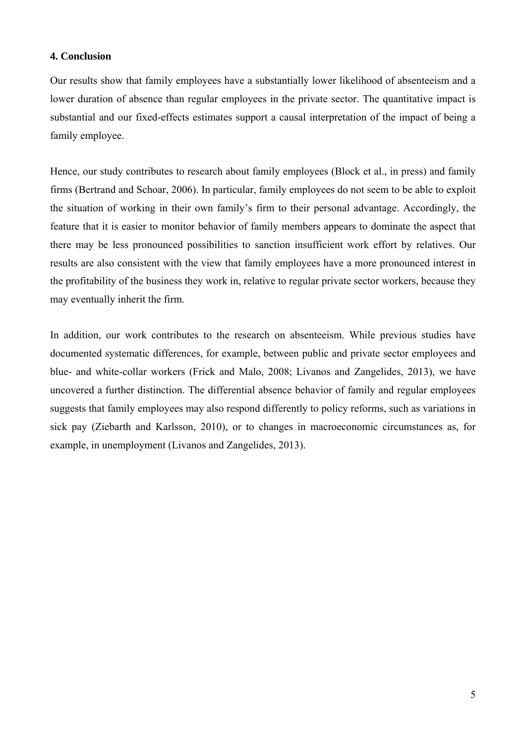#### **4. Conclusion**

Our results show that family employees have a substantially lower likelihood of absenteeism and a lower duration of absence than regular employees in the private sector. The quantitative impact is substantial and our fixed-effects estimates support a causal interpretation of the impact of being a family employee.

Hence, our study contributes to research about family employees (Block et al., in press) and family firms (Bertrand and Schoar, 2006). In particular, family employees do not seem to be able to exploit the situation of working in their own family's firm to their personal advantage. Accordingly, the feature that it is easier to monitor behavior of family members appears to dominate the aspect that there may be less pronounced possibilities to sanction insufficient work effort by relatives. Our results are also consistent with the view that family employees have a more pronounced interest in the profitability of the business they work in, relative to regular private sector workers, because they may eventually inherit the firm.

In addition, our work contributes to the research on absenteeism. While previous studies have documented systematic differences, for example, between public and private sector employees and blue- and white-collar workers (Frick and Malo, 2008; Livanos and Zangelides, 2013), we have uncovered a further distinction. The differential absence behavior of family and regular employees suggests that family employees may also respond differently to policy reforms, such as variations in sick pay (Ziebarth and Karlsson, 2010), or to changes in macroeconomic circumstances as, for example, in unemployment (Livanos and Zangelides, 2013).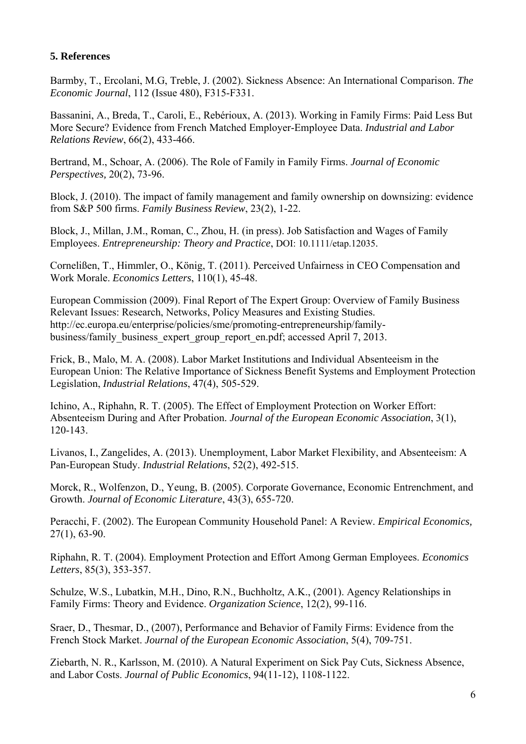#### **5. References**

Barmby, T., Ercolani, M.G, Treble, J. (2002). Sickness Absence: An International Comparison. *The Economic Journal*, 112 (Issue 480), F315-F331.

Bassanini, A., Breda, T., Caroli, E., Rebérioux, A. (2013). Working in Family Firms: Paid Less But More Secure? Evidence from French Matched Employer-Employee Data. *Industrial and Labor Relations Review*, 66(2), 433-466.

Bertrand, M., Schoar, A. (2006). The Role of Family in Family Firms. *Journal of Economic Perspectives,* 20(2), 73-96.

Block, J. (2010). The impact of family management and family ownership on downsizing: evidence from S&P 500 firms. *Family Business Review*, 23(2), 1-22.

Block, J., Millan, J.M., Roman, C., Zhou, H. (in press). Job Satisfaction and Wages of Family Employees. *Entrepreneurship: Theory and Practice*, DOI: 10.1111/etap.12035.

Cornelißen, T., Himmler, O., König, T. (2011). Perceived Unfairness in CEO Compensation and Work Morale. *Economics Letters*, 110(1), 45-48.

European Commission (2009). Final Report of The Expert Group: Overview of Family Business Relevant Issues: Research, Networks, Policy Measures and Existing Studies. http://ec.europa.eu/enterprise/policies/sme/promoting-entrepreneurship/familybusiness/family\_business\_expert\_group\_report\_en.pdf; accessed April 7, 2013.

Frick, B., Malo, M. A. (2008). Labor Market Institutions and Individual Absenteeism in the European Union: The Relative Importance of Sickness Benefit Systems and Employment Protection Legislation, *Industrial Relations*, 47(4), 505-529.

Ichino, A., Riphahn, R. T. (2005). The Effect of Employment Protection on Worker Effort: Absenteeism During and After Probation. *Journal of the European Economic Association*, 3(1), 120-143.

Livanos, I., Zangelides, A. (2013). Unemployment, Labor Market Flexibility, and Absenteeism: A Pan-European Study. *Industrial Relations*, 52(2), 492-515.

Morck, R., Wolfenzon, D., Yeung, B. (2005). Corporate Governance, Economic Entrenchment, and Growth. *Journal of Economic Literature*, 43(3), 655-720.

Peracchi, F. (2002). The European Community Household Panel: A Review. *Empirical Economics,*  27(1), 63-90.

Riphahn, R. T. (2004). Employment Protection and Effort Among German Employees. *Economics Letters*, 85(3), 353-357.

Schulze, W.S., Lubatkin, M.H., Dino, R.N., Buchholtz, A.K., (2001). Agency Relationships in Family Firms: Theory and Evidence. *Organization Science*, 12(2), 99-116.

Sraer, D., Thesmar, D., (2007), Performance and Behavior of Family Firms: Evidence from the French Stock Market. *Journal of the European Economic Association*, 5(4), 709-751.

Ziebarth, N. R., Karlsson, M. (2010). A Natural Experiment on Sick Pay Cuts, Sickness Absence, and Labor Costs. *Journal of Public Economics*, 94(11-12), 1108-1122.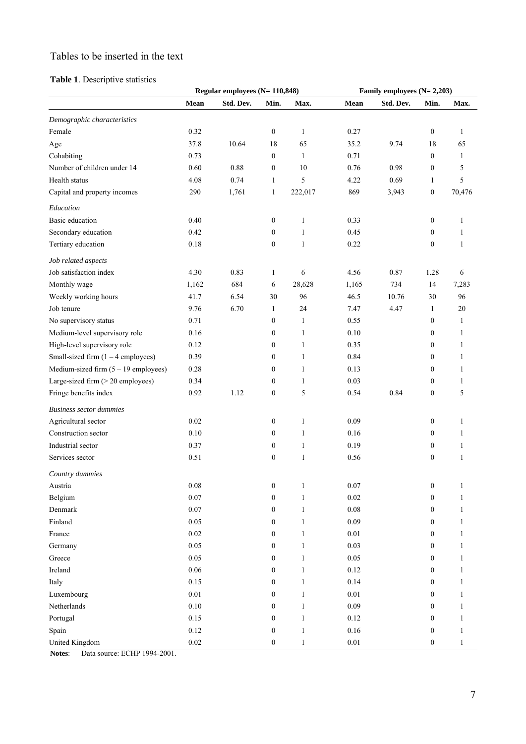### Tables to be inserted in the text

#### **Table 1**. Descriptive statistics

|                                        |             | Regular employees $(N = 110,848)$ |                  |              | Family employees $(N=2,203)$ |           |                  |              |  |  |
|----------------------------------------|-------------|-----------------------------------|------------------|--------------|------------------------------|-----------|------------------|--------------|--|--|
|                                        | <b>Mean</b> | Std. Dev.                         | Min.             | Max.         | Mean                         | Std. Dev. | Min.             | Max.         |  |  |
| Demographic characteristics            |             |                                   |                  |              |                              |           |                  |              |  |  |
| Female                                 | 0.32        |                                   | $\boldsymbol{0}$ | $\mathbf{1}$ | 0.27                         |           | $\boldsymbol{0}$ | 1            |  |  |
| Age                                    | 37.8        | 10.64                             | 18               | 65           | 35.2                         | 9.74      | 18               | 65           |  |  |
| Cohabiting                             | 0.73        |                                   | $\boldsymbol{0}$ | $\mathbf{1}$ | 0.71                         |           | $\mathbf{0}$     | 1            |  |  |
| Number of children under 14            | 0.60        | 0.88                              | $\boldsymbol{0}$ | 10           | 0.76                         | 0.98      | $\boldsymbol{0}$ | 5            |  |  |
| Health status                          | 4.08        | 0.74                              | $\mathbf{1}$     | 5            | 4.22                         | 0.69      | 1                | 5            |  |  |
| Capital and property incomes           | 290         | 1,761                             | $\mathbf{1}$     | 222,017      | 869                          | 3,943     | $\boldsymbol{0}$ | 70,476       |  |  |
| Education                              |             |                                   |                  |              |                              |           |                  |              |  |  |
| <b>Basic</b> education                 | 0.40        |                                   | $\boldsymbol{0}$ | $\mathbf{1}$ | 0.33                         |           | $\boldsymbol{0}$ | 1            |  |  |
| Secondary education                    | 0.42        |                                   | $\boldsymbol{0}$ | 1            | 0.45                         |           | $\boldsymbol{0}$ | 1            |  |  |
| Tertiary education                     | 0.18        |                                   | $\boldsymbol{0}$ | $\mathbf{1}$ | 0.22                         |           | $\boldsymbol{0}$ | $\mathbf{1}$ |  |  |
| Job related aspects                    |             |                                   |                  |              |                              |           |                  |              |  |  |
| Job satisfaction index                 | 4.30        | 0.83                              | $\mathbf{1}$     | 6            | 4.56                         | 0.87      | 1.28             | 6            |  |  |
| Monthly wage                           | 1,162       | 684                               | 6                | 28,628       | 1,165                        | 734       | 14               | 7,283        |  |  |
| Weekly working hours                   | 41.7        | 6.54                              | 30               | 96           | 46.5                         | 10.76     | 30               | 96           |  |  |
| Job tenure                             | 9.76        | 6.70                              | $\mathbf{1}$     | 24           | 7.47                         | 4.47      | 1                | 20           |  |  |
| No supervisory status                  | 0.71        |                                   | $\boldsymbol{0}$ | 1            | 0.55                         |           | $\boldsymbol{0}$ | 1            |  |  |
| Medium-level supervisory role          | 0.16        |                                   | $\boldsymbol{0}$ | 1            | $0.10\,$                     |           | 0                | 1            |  |  |
| High-level supervisory role            | 0.12        |                                   | $\boldsymbol{0}$ | $\mathbf{1}$ | 0.35                         |           | 0                | 1            |  |  |
| Small-sized firm $(1 - 4$ employees)   | 0.39        |                                   | $\boldsymbol{0}$ | 1            | 0.84                         |           | $\boldsymbol{0}$ | 1            |  |  |
| Medium-sized firm $(5 - 19$ employees) | 0.28        |                                   | $\boldsymbol{0}$ | 1            | 0.13                         |           | $\overline{0}$   | 1            |  |  |
| Large-sized firm (> 20 employees)      | 0.34        |                                   | $\boldsymbol{0}$ | 1            | 0.03                         |           | $\boldsymbol{0}$ | 1            |  |  |
| Fringe benefits index                  | 0.92        | 1.12                              | $\boldsymbol{0}$ | 5            | 0.54                         | 0.84      | $\boldsymbol{0}$ | 5            |  |  |
| <b>Business sector dummies</b>         |             |                                   |                  |              |                              |           |                  |              |  |  |
| Agricultural sector                    | 0.02        |                                   | $\boldsymbol{0}$ | 1            | 0.09                         |           | $\boldsymbol{0}$ | 1            |  |  |
| Construction sector                    | 0.10        |                                   | $\boldsymbol{0}$ | 1            | 0.16                         |           | $\boldsymbol{0}$ | $\mathbf{1}$ |  |  |
| Industrial sector                      | 0.37        |                                   | $\boldsymbol{0}$ | 1            | 0.19                         |           | $\boldsymbol{0}$ | $\mathbf{1}$ |  |  |
| Services sector                        | 0.51        |                                   | $\boldsymbol{0}$ | $\mathbf{1}$ | 0.56                         |           | $\boldsymbol{0}$ | 1            |  |  |
| Country dummies                        |             |                                   |                  |              |                              |           |                  |              |  |  |
| Austria                                | $0.08\,$    |                                   | $\boldsymbol{0}$ | 1            | 0.07                         |           | $\boldsymbol{0}$ |              |  |  |
| Belgium                                | 0.07        |                                   | $\boldsymbol{0}$ | $\mathbf{1}$ | 0.02                         |           | $\boldsymbol{0}$ | 1            |  |  |
| Denmark                                | 0.07        |                                   | $\boldsymbol{0}$ | $\mathbf{1}$ | $0.08\,$                     |           | 0                | 1            |  |  |
| Finland                                | 0.05        |                                   | 0                | 1            | 0.09                         |           | $\boldsymbol{0}$ | 1            |  |  |
| France                                 | 0.02        |                                   | 0                | 1            | $0.01\,$                     |           | 0                | 1            |  |  |
| Germany                                | 0.05        |                                   | 0                | 1            | 0.03                         |           | $\boldsymbol{0}$ | 1            |  |  |
| Greece                                 | 0.05        |                                   | $\boldsymbol{0}$ | 1            | $0.05\,$                     |           | $\boldsymbol{0}$ | 1            |  |  |
| Ireland                                | 0.06        |                                   | $\boldsymbol{0}$ | $\mathbf{1}$ | 0.12                         |           | $\boldsymbol{0}$ | 1            |  |  |
| Italy                                  | 0.15        |                                   | $\boldsymbol{0}$ | 1            | 0.14                         |           | 0                | 1            |  |  |
| Luxembourg                             | $0.01\,$    |                                   | $\boldsymbol{0}$ | 1            | $0.01\,$                     |           | 0                | 1            |  |  |
| Netherlands                            | $0.10\,$    |                                   | 0                | $\mathbf{1}$ | 0.09                         |           | 0                | 1            |  |  |
| Portugal                               | 0.15        |                                   | $\boldsymbol{0}$ | $\mathbf{1}$ | 0.12                         |           | 0                | 1            |  |  |
| Spain                                  | 0.12        |                                   | $\boldsymbol{0}$ | $\mathbf{1}$ | 0.16                         |           | $\boldsymbol{0}$ | 1            |  |  |
| United Kingdom                         | 0.02        |                                   | $\boldsymbol{0}$ | 1            | $0.01\,$                     |           | 0                | 1            |  |  |

**Notes**: Data source: ECHP 1994-2001.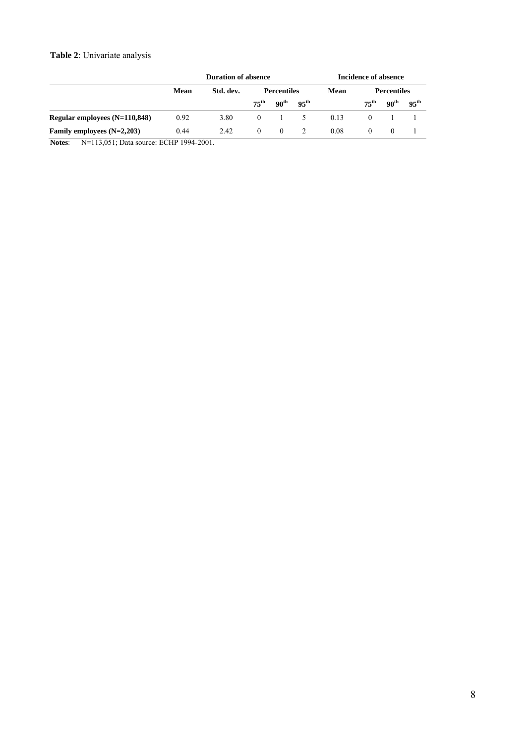#### **Table 2**: Univariate analysis

|                                                                                                                       | <b>Duration of absence</b> | <b>Incidence of absence</b> |                    |                    |                  |      |                    |                  |                  |
|-----------------------------------------------------------------------------------------------------------------------|----------------------------|-----------------------------|--------------------|--------------------|------------------|------|--------------------|------------------|------------------|
|                                                                                                                       | Mean                       | Std. dev.                   | <b>Percentiles</b> |                    |                  | Mean | <b>Percentiles</b> |                  |                  |
|                                                                                                                       |                            |                             | $75^{\rm th}$      | - 90 <sup>th</sup> | 95 <sup>th</sup> |      | $75^{th}$          | 90 <sup>th</sup> | $95^{\text{th}}$ |
| Regular employees $(N=110,848)$                                                                                       | 0.92                       | 3.80                        | $\Omega$           |                    | $\sim$           | 0.13 |                    |                  |                  |
| Family employees $(N=2,203)$                                                                                          | 0.44                       | 2.42                        | $\Omega$           | $\Omega$           |                  | 0.08 | $\theta$           | $\theta$         |                  |
| $\mathbf{r}$ . $\mathbf{r}$ , $\mathbf{r}$ , $\mathbf{r}$ , $\mathbf{r}$ , $\mathbf{r}$ , $\mathbf{r}$ , $\mathbf{r}$ |                            |                             |                    |                    |                  |      |                    |                  |                  |

**Notes**: N=113,051; Data source: ECHP 1994-2001.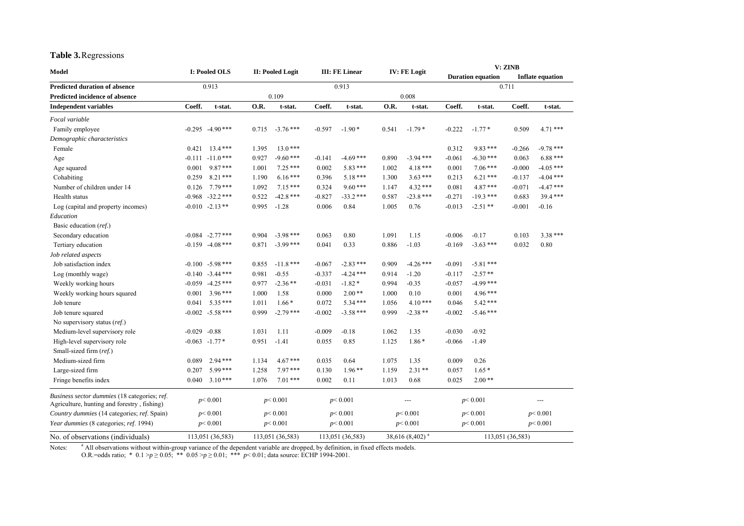#### **Table 3.** Regressions

| Model                                        |          | I: Pooled OLS<br>II: Pooled Logit                                                       |       | <b>III: FE Linear</b> |          | <b>IV: FE Logit</b> |       | V: ZINB     |          |                          |          |                         |
|----------------------------------------------|----------|-----------------------------------------------------------------------------------------|-------|-----------------------|----------|---------------------|-------|-------------|----------|--------------------------|----------|-------------------------|
|                                              |          |                                                                                         |       |                       |          |                     |       |             |          | <b>Duration equation</b> |          | <b>Inflate equation</b> |
| <b>Predicted duration of absence</b>         |          | 0.913                                                                                   |       |                       |          | 0.913               |       |             |          |                          | 0.711    |                         |
| <b>Predicted incidence of absence</b>        |          |                                                                                         |       | 0.109                 |          |                     |       | 0.008       |          |                          |          |                         |
| <b>Independent variables</b>                 | Coeff.   | t-stat.                                                                                 | O.R.  | t-stat.               | Coeff.   | t-stat.             | O.R.  | t-stat.     | Coeff.   | t-stat.                  | Coeff.   | t-stat.                 |
| Focal variable                               |          |                                                                                         |       |                       |          |                     |       |             |          |                          |          |                         |
| Family employee                              | $-0.295$ | $-4.90***$                                                                              | 0.715 | $-3.76$ ***           | $-0.597$ | $-1.90*$            | 0.541 | $-1.79*$    | $-0.222$ | $-1.77*$                 | 0.509    | $4.71***$               |
| Demographic characteristics                  |          |                                                                                         |       |                       |          |                     |       |             |          |                          |          |                         |
| Female                                       | 0.421    | $13.4***$                                                                               | 1.395 | $13.0***$             |          |                     |       |             | 0.312    | $9.83***$                | $-0.266$ | $-9.78$ ***             |
| Age                                          | $-0.111$ | $-11.0***$                                                                              | 0.927 | $-9.60***$            | $-0.141$ | $-4.69***$          | 0.890 | $-3.94$ *** | $-0.061$ | $-6.30$ ***              | 0.063    | $6.88***$               |
| Age squared                                  | 0.001    | $9.87***$                                                                               | 1.001 | $7.25***$             | 0.002    | $5.83***$           | 1.002 | $4.18***$   | 0.001    | $7.06***$                | $-0.000$ | $-4.05$ ***             |
| Cohabiting                                   | 0.259    | $8.21***$                                                                               | 1.190 | $6.16***$             | 0.396    | $5.18***$           | 1.300 | $3.63***$   | 0.213    | $6.21***$                | $-0.137$ | $-4.04$ ***             |
| Number of children under 14                  | 0.126    | $7.79***$                                                                               | 1.092 | $7.15***$             | 0.324    | $9.60***$           | 1.147 | $4.32***$   | 0.081    | $4.87***$                | $-0.071$ | $-4.47$ ***             |
| Health status                                | $-0.968$ | $-32.2$ ***                                                                             | 0.522 | $-42.8$ ***           | $-0.827$ | $-33.2$ ***         | 0.587 | $-23.8$ *** | $-0.271$ | $-19.3$ ***              | 0.683    | $39.4***$               |
| Log (capital and property incomes)           |          | $-0.010 -2.13$ **                                                                       | 0.995 | $-1.28$               | 0.006    | 0.84                | 1.005 | 0.76        | $-0.013$ | $-2.51**$                | $-0.001$ | $-0.16$                 |
| Education                                    |          |                                                                                         |       |                       |          |                     |       |             |          |                          |          |                         |
| Basic education (ref.)                       |          |                                                                                         |       |                       |          |                     |       |             |          |                          |          |                         |
| Secondary education                          |          | $-0.084$ $-2.77$ ***                                                                    | 0.904 | $-3.98$ ***           | 0.063    | 0.80                | 1.091 | 1.15        | $-0.006$ | $-0.17$                  | 0.103    | $3.38***$               |
| Tertiary education                           |          | $-0.159 - 4.08$ ***                                                                     | 0.871 | $-3.99$ ***           | 0.041    | 0.33                | 0.886 | $-1.03$     | $-0.169$ | $-3.63$ ***              | 0.032    | 0.80                    |
| Job related aspects                          |          |                                                                                         |       |                       |          |                     |       |             |          |                          |          |                         |
| Job satisfaction index                       | $-0.100$ | $-5.98***$                                                                              | 0.855 | $-11.8$ ***           | $-0.067$ | $-2.83$ ***         | 0.909 | $-4.26$ *** | $-0.091$ | $-5.81***$               |          |                         |
| Log (monthly wage)                           | $-0.140$ | $-3.44$ ***                                                                             | 0.981 | $-0.55$               | $-0.337$ | $-4.24$ ***         | 0.914 | $-1.20$     | $-0.117$ | $-2.57**$                |          |                         |
| Weekly working hours                         |          | $-0.059 -4.25***$                                                                       | 0.977 | $-2.36**$             | $-0.031$ | $-1.82*$            | 0.994 | $-0.35$     | $-0.057$ | $-4.99$ ***              |          |                         |
| Weekly working hours squared                 | 0.001    | $3.96***$                                                                               | 1.000 | 1.58                  | 0.000    | $2.00**$            | 1.000 | 0.10        | 0.001    | 4.96***                  |          |                         |
| Job tenure                                   | 0.041    | $5.35***$                                                                               | 1.011 | $1.66*$               | 0.072    | $5.34***$           | 1.056 | $4.10***$   | 0.046    | $5.42***$                |          |                         |
| Job tenure squared                           |          | $-0.002 -5.58$ ***                                                                      | 0.999 | $-2.79$ ***           | $-0.002$ | $-3.58$ ***         | 0.999 | $-2.38**$   | $-0.002$ | $-5.46$ ***              |          |                         |
| No supervisory status (ref.)                 |          |                                                                                         |       |                       |          |                     |       |             |          |                          |          |                         |
| Medium-level supervisory role                | $-0.029$ | $-0.88$                                                                                 | 1.031 | 1.11                  | $-0.009$ | $-0.18$             | 1.062 | 1.35        | $-0.030$ | $-0.92$                  |          |                         |
| High-level supervisory role                  |          | $-0.063 -1.77*$                                                                         | 0.951 | $-1.41$               | 0.055    | 0.85                | 1.125 | $1.86*$     | $-0.066$ | $-1.49$                  |          |                         |
| Small-sized firm (ref.)                      |          |                                                                                         |       |                       |          |                     |       |             |          |                          |          |                         |
| Medium-sized firm                            | 0.089    | $2.94***$                                                                               | 1.134 | $4.67***$             | 0.035    | 0.64                | 1.075 | 1.35        | 0.009    | 0.26                     |          |                         |
| Large-sized firm                             | 0.207    | $5.99***$                                                                               | 1.258 | $7.97***$             | 0.130    | $1.96**$            | 1.159 | $2.31**$    | 0.057    | $1.65*$                  |          |                         |
| Fringe benefits index                        | 0.040    | $3.10***$                                                                               | 1.076 | $7.01***$             | 0.002    | 0.11                | 1.013 | 0.68        | 0.025    | $2.00**$                 |          |                         |
| Business sector dummies (18 categories; ref. |          | p < 0.001                                                                               |       | p < 0.001             |          | p < 0.001           |       | ---         |          | p < 0.001                |          | ---                     |
| Agriculture, hunting and forestry, fishing)  |          |                                                                                         |       |                       |          |                     |       |             |          |                          |          |                         |
| Country dummies (14 categories; ref. Spain)  |          | p < 0.001                                                                               |       | p < 0.001             |          | p < 0.001           |       | p < 0.001   |          | p < 0.001                |          | p < 0.001               |
| Year dummies (8 categories; ref. 1994)       |          | p < 0.001                                                                               |       | p < 0.001             |          | p < 0.001           |       | p < 0.001   |          | p < 0.001                |          | p < 0.001               |
| No. of observations (individuals)            |          | 38,616 (8,402) <sup>a</sup><br>113,051 (36,583)<br>113,051 (36,583)<br>113,051 (36,583) |       | 113,051 (36,583)      |          |                     |       |             |          |                          |          |                         |

Notes: <sup>a</sup> All observations without within-group variance of the dependent variable are dropped, by definition, in fixed effects models.

O.R.=odds ratio; \*  $0.1 > p \ge 0.05$ ; \*\*  $0.05 > p \ge 0.01$ ; \*\*\*  $p < 0.01$ ; data source: ECHP 1994-2001.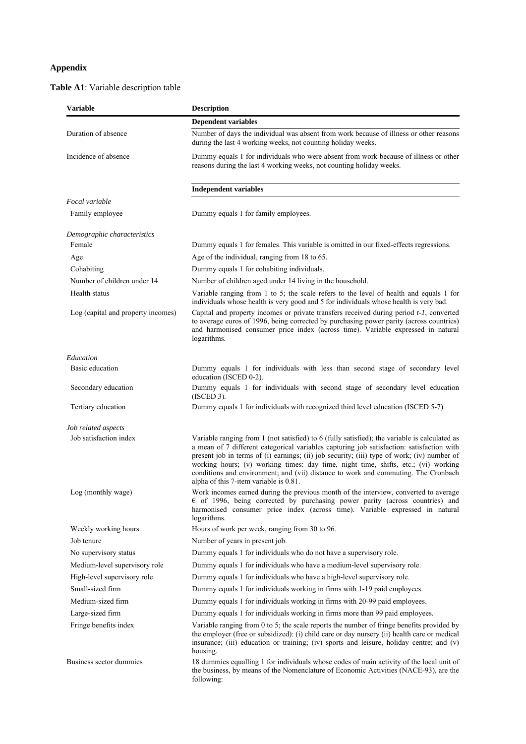#### **Appendix**

#### **Table A1**: Variable description table

| <b>Variable</b>                    | <b>Description</b>                                                                                                                                                                                                                                                                                                                                                                                                                                                                                              |  |  |  |  |  |  |  |
|------------------------------------|-----------------------------------------------------------------------------------------------------------------------------------------------------------------------------------------------------------------------------------------------------------------------------------------------------------------------------------------------------------------------------------------------------------------------------------------------------------------------------------------------------------------|--|--|--|--|--|--|--|
|                                    | <b>Dependent variables</b>                                                                                                                                                                                                                                                                                                                                                                                                                                                                                      |  |  |  |  |  |  |  |
| Duration of absence                | Number of days the individual was absent from work because of illness or other reasons<br>during the last 4 working weeks, not counting holiday weeks.                                                                                                                                                                                                                                                                                                                                                          |  |  |  |  |  |  |  |
| Incidence of absence               | Dummy equals 1 for individuals who were absent from work because of illness or other<br>reasons during the last 4 working weeks, not counting holiday weeks.                                                                                                                                                                                                                                                                                                                                                    |  |  |  |  |  |  |  |
|                                    | <b>Independent variables</b>                                                                                                                                                                                                                                                                                                                                                                                                                                                                                    |  |  |  |  |  |  |  |
| Focal variable                     |                                                                                                                                                                                                                                                                                                                                                                                                                                                                                                                 |  |  |  |  |  |  |  |
| Family employee                    | Dummy equals 1 for family employees.                                                                                                                                                                                                                                                                                                                                                                                                                                                                            |  |  |  |  |  |  |  |
| Demographic characteristics        |                                                                                                                                                                                                                                                                                                                                                                                                                                                                                                                 |  |  |  |  |  |  |  |
| Female                             | Dummy equals 1 for females. This variable is omitted in our fixed-effects regressions.                                                                                                                                                                                                                                                                                                                                                                                                                          |  |  |  |  |  |  |  |
| Age                                | Age of the individual, ranging from 18 to 65.                                                                                                                                                                                                                                                                                                                                                                                                                                                                   |  |  |  |  |  |  |  |
| Cohabiting                         | Dummy equals 1 for cohabiting individuals.                                                                                                                                                                                                                                                                                                                                                                                                                                                                      |  |  |  |  |  |  |  |
| Number of children under 14        | Number of children aged under 14 living in the household.                                                                                                                                                                                                                                                                                                                                                                                                                                                       |  |  |  |  |  |  |  |
| Health status                      | Variable ranging from 1 to 5; the scale refers to the level of health and equals 1 for<br>individuals whose health is very good and 5 for individuals whose health is very bad.                                                                                                                                                                                                                                                                                                                                 |  |  |  |  |  |  |  |
| Log (capital and property incomes) | Capital and property incomes or private transfers received during period t-1, converted<br>to average euros of 1996, being corrected by purchasing power parity (across countries)<br>and harmonised consumer price index (across time). Variable expressed in natural<br>logarithms.                                                                                                                                                                                                                           |  |  |  |  |  |  |  |
| Education                          |                                                                                                                                                                                                                                                                                                                                                                                                                                                                                                                 |  |  |  |  |  |  |  |
| Basic education                    | Dummy equals 1 for individuals with less than second stage of secondary level<br>education (ISCED 0-2).                                                                                                                                                                                                                                                                                                                                                                                                         |  |  |  |  |  |  |  |
| Secondary education                | Dummy equals 1 for individuals with second stage of secondary level education<br>(ISCED3).                                                                                                                                                                                                                                                                                                                                                                                                                      |  |  |  |  |  |  |  |
| Tertiary education                 | Dummy equals 1 for individuals with recognized third level education (ISCED 5-7).                                                                                                                                                                                                                                                                                                                                                                                                                               |  |  |  |  |  |  |  |
| Job related aspects                |                                                                                                                                                                                                                                                                                                                                                                                                                                                                                                                 |  |  |  |  |  |  |  |
| Job satisfaction index             | Variable ranging from 1 (not satisfied) to 6 (fully satisfied); the variable is calculated as<br>a mean of 7 different categorical variables capturing job satisfaction: satisfaction with<br>present job in terms of (i) earnings; (ii) job security; (iii) type of work; (iv) number of<br>working hours; (v) working times: day time, night time, shifts, etc.; (vi) working<br>conditions and environment; and (vii) distance to work and commuting. The Cronbach<br>alpha of this 7-item variable is 0.81. |  |  |  |  |  |  |  |
| Log (monthly wage)                 | Work incomes earned during the previous month of the interview, converted to average<br>$\epsilon$ of 1996, being corrected by purchasing power parity (across countries) and<br>harmonised consumer price index (across time). Variable expressed in natural<br>logarithms.                                                                                                                                                                                                                                    |  |  |  |  |  |  |  |
| Weekly working hours               | Hours of work per week, ranging from 30 to 96.                                                                                                                                                                                                                                                                                                                                                                                                                                                                  |  |  |  |  |  |  |  |
| Job tenure                         | Number of years in present job.                                                                                                                                                                                                                                                                                                                                                                                                                                                                                 |  |  |  |  |  |  |  |
| No supervisory status              | Dummy equals 1 for individuals who do not have a supervisory role.                                                                                                                                                                                                                                                                                                                                                                                                                                              |  |  |  |  |  |  |  |
| Medium-level supervisory role      | Dummy equals 1 for individuals who have a medium-level supervisory role.                                                                                                                                                                                                                                                                                                                                                                                                                                        |  |  |  |  |  |  |  |
| High-level supervisory role        | Dummy equals 1 for individuals who have a high-level supervisory role.                                                                                                                                                                                                                                                                                                                                                                                                                                          |  |  |  |  |  |  |  |
| Small-sized firm                   | Dummy equals 1 for individuals working in firms with 1-19 paid employees.                                                                                                                                                                                                                                                                                                                                                                                                                                       |  |  |  |  |  |  |  |
| Medium-sized firm                  | Dummy equals 1 for individuals working in firms with 20-99 paid employees.                                                                                                                                                                                                                                                                                                                                                                                                                                      |  |  |  |  |  |  |  |
| Large-sized firm                   | Dummy equals 1 for individuals working in firms more than 99 paid employees.                                                                                                                                                                                                                                                                                                                                                                                                                                    |  |  |  |  |  |  |  |
| Fringe benefits index              | Variable ranging from 0 to 5; the scale reports the number of fringe benefits provided by<br>the employer (free or subsidized): (i) child care or day nursery (ii) health care or medical<br>insurance; (iii) education or training; (iv) sports and leisure, holiday centre; and (v)<br>housing.                                                                                                                                                                                                               |  |  |  |  |  |  |  |
| Business sector dummies            | 18 dummies equalling 1 for individuals whose codes of main activity of the local unit of<br>the business, by means of the Nomenclature of Economic Activities (NACE-93), are the<br>following:                                                                                                                                                                                                                                                                                                                  |  |  |  |  |  |  |  |